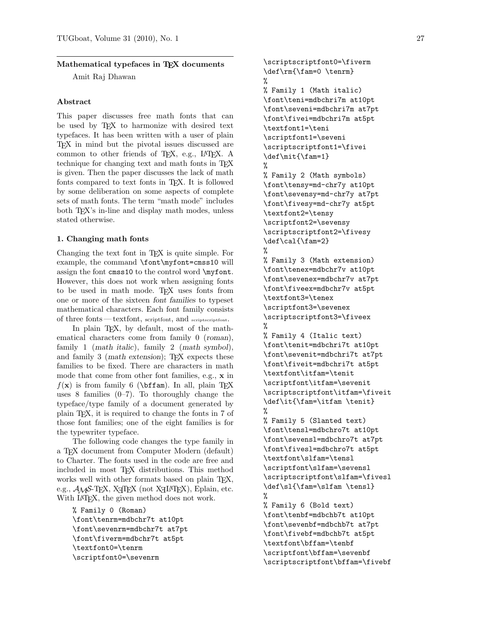# Mathematical typefaces in TEX documents

Amit Raj Dhawan

# Abstract

This paper discusses free math fonts that can be used by TEX to harmonize with desired text typefaces. It has been written with a user of plain TEX in mind but the pivotal issues discussed are common to other friends of TEX, e.g., IATEX. A technique for changing text and math fonts in T<sub>E</sub>X is given. Then the paper discusses the lack of math fonts compared to text fonts in T<sub>E</sub>X. It is followed by some deliberation on some aspects of complete sets of math fonts. The term "math mode" includes both TEX's in-line and display math modes, unless stated otherwise.

### 1. Changing math fonts

Changing the text font in TEX is quite simple. For example, the command \font\myfont=cmss10 will assign the font cmss10 to the control word \myfont. However, this does not work when assigning fonts to be used in math mode. TFX uses fonts from one or more of the sixteen font families to typeset mathematical characters. Each font family consists of three fonts—textfont, scriptfont, and scriptscriptfont.

In plain T<sub>E</sub>X, by default, most of the mathematical characters come from family 0 (roman), family 1 (math italic), family 2 (math symbol), and family 3 (math extension); T<sub>EX</sub> expects these families to be fixed. There are characters in math mode that come from other font families, e.g., x in  $f(\mathbf{x})$  is from family 6 (\bffam). In all, plain TEX uses 8 families  $(0-7)$ . To thoroughly change the typeface/type family of a document generated by plain TEX, it is required to change the fonts in 7 of those font families; one of the eight families is for the typewriter typeface.

The following code changes the type family in a TEX document from Computer Modern (default) to Charter. The fonts used in the code are free and included in most TEX distributions. This method works well with other formats based on plain T<sub>E</sub>X, e.g.,  $\mathcal{A}_{\mathcal{M}}$ S-T<sub>E</sub>X, X<sub>I</sub>TEX (not X<sub>I</sub>IAT<sub>E</sub>X), Eplain, etc. With LATEX, the given method does not work.

```
% Family 0 (Roman)
\font\tenrm=mdbchr7t at10pt
\font\sevenrm=mdbchr7t at7pt
\font\fiverm=mdbchr7t at5pt
\textfont0=\tenrm
\scriptfont0=\sevenrm
```
\scriptscriptfont0=\fiverm \def\rm{\fam=0 \tenrm} % % Family 1 (Math italic) \font\teni=mdbchri7m at10pt \font\seveni=mdbchri7m at7pt \font\fivei=mdbchri7m at5pt \textfont1=\teni \scriptfont1=\seveni \scriptscriptfont1=\fivei \def\mit{\fam=1} % % Family 2 (Math symbols) \font\tensy=md-chr7y at10pt \font\sevensy=md-chr7y at7pt \font\fivesy=md-chr7y at5pt \textfont2=\tensy \scriptfont2=\sevensy \scriptscriptfont2=\fivesy \def\cal{\fam=2} % % Family 3 (Math extension) \font\tenex=mdbchr7v at10pt \font\sevenex=mdbchr7v at7pt \font\fiveex=mdbchr7v at5pt \textfont3=\tenex \scriptfont3=\sevenex \scriptscriptfont3=\fiveex % % Family 4 (Italic text) \font\tenit=mdbchri7t at10pt \font\sevenit=mdbchri7t at7pt \font\fiveit=mdbchri7t at5pt \textfont\itfam=\tenit \scriptfont\itfam=\sevenit \scriptscriptfont\itfam=\fiveit \def\it{\fam=\itfam \tenit} % % Family 5 (Slanted text) \font\tensl=mdbchro7t at10pt \font\sevensl=mdbchro7t at7pt \font\fivesl=mdbchro7t at5pt \textfont\slfam=\tensl \scriptfont\slfam=\sevensl \scriptscriptfont\slfam=\fivesl \def\sl{\fam=\slfam \tensl} % % Family 6 (Bold text) \font\tenbf=mdbchb7t at10pt \font\sevenbf=mdbchb7t at7pt \font\fivebf=mdbchb7t at5pt \textfont\bffam=\tenbf \scriptfont\bffam=\sevenbf \scriptscriptfont\bffam=\fivebf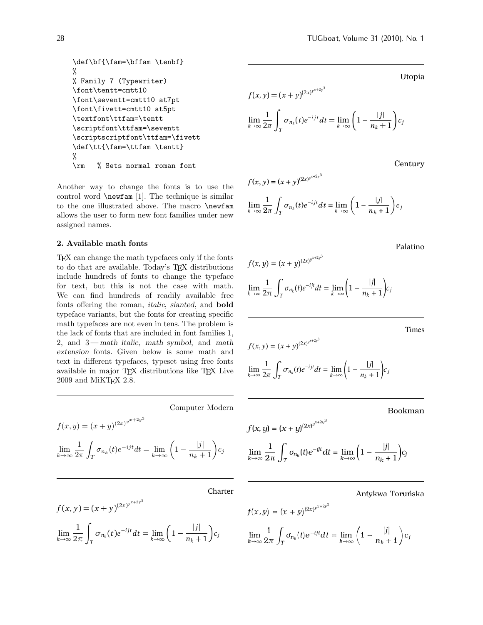```
\def\bf{\fam=\bffam \tenbf}
%
% Family 7 (Typewriter)
\font\tentt=cmtt10
\font\seventt=cmtt10 at7pt
\font\fivett=cmtt10 at5pt
\textfont\ttfam=\tentt
\scriptfont\ttfam=\seventt
\scriptscriptfont\ttfam=\fivett
\def\tt{\fam=\ttfam \tentt}
%
\rm % Sets normal roman font
```
Another way to change the fonts is to use the control word \newfam [1]. The technique is similar to the one illustrated above. The macro \newfam allows the user to form new font families under new assigned names.

#### 2. Available math fonts

TEX can change the math typefaces only if the fonts to do that are available. Today's TEX distributions include hundreds of fonts to change the typeface for text, but this is not the case with math. We can find hundreds of readily available free fonts offering the roman, italic, slanted, and bold typeface variants, but the fonts for creating specific math typefaces are not even in tens. The problem is the lack of fonts that are included in font families 1, 2, and 3— math italic, math symbol, and math extension fonts. Given below is some math and text in different typefaces, typeset using free fonts available in major TFX distributions like TFX Live 2009 and MiKT<sub>E</sub>X 2.8.

Computer Modern  $f(x,y) = (x+y)^{(2x)^{y^{x+2y^3}}}$ lim k→∞ 1  $2\pi$ Z  $\int_T \sigma_{n_k}(t)e^{-ijt}dt = \lim_{k \to \infty} \left(1 - \frac{|j|}{n_k + 1}\right)c_j$ 

Charter

$$
f(x, y) = (x + y)^{(2x)^{y^{x+2y^3}}}
$$

$$
\lim_{k \to \infty} \frac{1}{2\pi} \int_{T} \sigma_{n_k}(t) e^{-ijt} dt = \lim_{k \to \infty} \left(1 - \frac{|j|}{n_k + 1}\right) c_j
$$

Utopia  
\n
$$
f(x, y) = (x + y)^{(2x)^{y^{x+2y^3}}}
$$
\n
$$
\lim_{k \to \infty} \frac{1}{2\pi} \int_{T} \sigma_{n_k}(t) e^{-ijt} dt = \lim_{k \to \infty} \left(1 - \frac{|j|}{n_k + 1}\right) c_j
$$

Century

$$
f(x, y) = (x + y)^{(2x)^{x+2y^3}}
$$
  

$$
\lim_{k \to \infty} \frac{1}{2\pi} \int_T \sigma_{n_k}(t) e^{-ijt} dt = \lim_{k \to \infty} \left(1 - \frac{|j|}{n_k + 1}\right) c_j
$$

Palatino

 $\bigg)$ <sub>*c<sub>j</sub>*</sub>

 $\bigg| c_j$ 

$$
f(x, y) = (x + y)^{(2x)^{y^{x+2y^3}}}
$$

$$
\lim_{k \to \infty} \frac{1}{2\pi} \int_{T} \sigma_{n_k}(t) e^{-ijt} dt = \lim_{k \to \infty} \left(1 - \frac{|j|}{n_k + 1}\right)
$$

Times

$$
f(x, y) = (x + y)^{(2x)^{x+2y^3}}
$$
  

$$
\lim_{k \to \infty} \frac{1}{2\pi} \int_{T} \sigma_{n_k}(t) e^{-ijt} dt = \lim_{k \to \infty} \left(1 - \frac{|j|}{n_k + 1}\right)
$$

Bookman

$$
f(x, y) = (x + y)^{(2x)^{y^{x+2y^3}}}
$$
  

$$
\lim_{k \to \infty} \frac{1}{2\pi} \int_T \sigma_{n_k}(t) e^{-yt} dt = \lim_{k \to \infty} \left(1 - \frac{|j|}{n_k + 1}\right) c_j
$$

Antykwa Toru´nska

$$
f(x,y) = (x+y)^{(2x)^{y^{x+2y^3}}}
$$
  

$$
\lim_{k \to \infty} \frac{1}{2\pi} \int_T \sigma_{n_k}(t) e^{-ijt} dt = \lim_{k \to \infty} \left(1 - \frac{|j|}{n_k + 1}\right) c_j
$$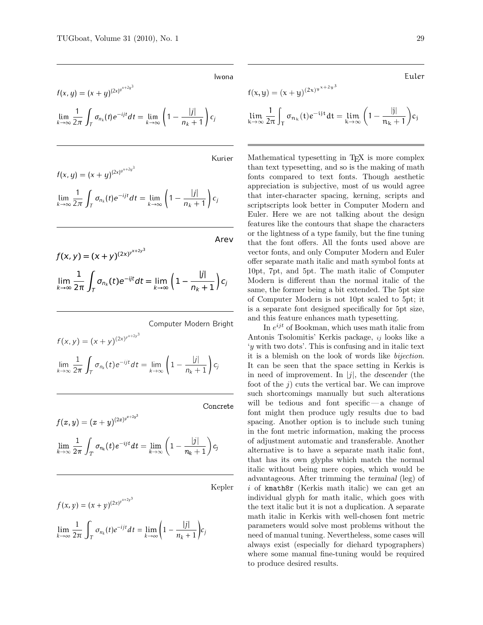Iwona

$$
f(x, y) = (x + y)^{(2x)^{y^{x+2y^3}}}
$$
  

$$
\lim_{k \to \infty} \frac{1}{2\pi} \int_{T} \sigma_{n_k}(t) e^{-ijt} dt = \lim_{k \to \infty} \left(1 - \frac{|j|}{n_k + 1}\right) c_j
$$

Kurier

$$
f(x, y) = (x + y)^{(2x)^{y^{x+2y^3}}}
$$
  
\n
$$
\lim_{k \to \infty} \frac{1}{2\pi} \int_{T} \sigma_{n_k}(t) e^{-ijt} dt = \lim_{k \to \infty} \left(1 - \frac{|j|}{n_k + 1}\right) c_j
$$

Arev

$$
f(x, y) = (x + y)^{(2x)^{y^{x+2y^3}}}
$$
  
\n
$$
\lim_{k \to \infty} \frac{1}{2\pi} \int_{T} \sigma_{n_k}(t) e^{-ijt} dt = \lim_{k \to \infty} \left( 1 - \frac{|j|}{n_k + 1} \right) c_j
$$

Computer Modern Bright

$$
f(x, y) = (x + y)^{(2x)^{y^{x+2y^3}}}
$$
  

$$
\lim_{k \to \infty} \frac{1}{2\pi} \int_{T} \sigma_{n_k}(t) e^{-ijt} dt = \lim_{k \to \infty} \left(1 - \frac{|j|}{n_k + 1}\right) c_j
$$

Concrete

$$
\begin{array}{l} f(x,y)=(x+y)^{(2x)^{y^{x+2}y^3}}\\ \lim\limits_{k\rightarrow \infty} \dfrac{1}{2\pi}\int_{T}\sigma_{n_k}(t)e^{-ijt}dt=\lim\limits_{k\rightarrow \infty}\bigg(1-\dfrac{|j|}{n_k+1}\bigg)c_j \end{array}
$$

Kepler

$$
f(x, y) = (x + y)^{(2x)^{y^{x+2y^3}}}
$$
  

$$
\lim_{k \to \infty} \frac{1}{2\pi} \int_{T} \sigma_{n_k}(t) e^{-ijt} dt = \lim_{k \to \infty} \left(1 - \frac{|j|}{n_k + 1}\right) c_j
$$

$$
\mathsf{Euler}\,
$$

$$
f(x, y) = (x + y)^{(2x)^{y^{x+2y^3}}}
$$
  
\n
$$
\lim_{k \to \infty} \frac{1}{2\pi} \int_{T} \sigma_{n_k}(t) e^{-ijt} dt = \lim_{k \to \infty} \left(1 - \frac{|j|}{n_k + 1}\right) c_j
$$

Mathematical typesetting in T<sub>EX</sub> is more complex than text typesetting, and so is the making of math fonts compared to text fonts. Though aesthetic appreciation is subjective, most of us would agree that inter-character spacing, kerning, scripts and scriptscripts look better in Computer Modern and Euler. Here we are not talking about the design features like the contours that shape the characters or the lightness of a type family, but the fine tuning that the font offers. All the fonts used above are vector fonts, and only Computer Modern and Euler offer separate math italic and math symbol fonts at 10pt, 7pt, and 5pt. The math italic of Computer Modern is different than the normal italic of the same, the former being a bit extended. The 5pt size of Computer Modern is not 10pt scaled to 5pt; it is a separate font designed specifically for 5pt size, and this feature enhances math typesetting.

In  $e^{ijt}$  of Bookman, which uses math italic from Antonis Tsolomitis' Kerkis package, ij looks like a 'y with two dots'. This is confusing and in italic text it is a blemish on the look of words like bijection. It can be seen that the space setting in Kerkis is in need of improvement. In |j|, the descender (the foot of the  $j$ ) cuts the vertical bar. We can improve such shortcomings manually but such alterations will be tedious and font specific— a change of font might then produce ugly results due to bad spacing. Another option is to include such tuning in the font metric information, making the process of adjustment automatic and transferable. Another alternative is to have a separate math italic font, that has its own glyphs which match the normal italic without being mere copies, which would be advantageous. After trimming the terminal (leg) of i of kmath8r (Kerkis math italic) we can get an individual glyph for math italic, which goes with the text italic but it is not a duplication. A separate math italic in Kerkis with well-chosen font metric parameters would solve most problems without the need of manual tuning. Nevertheless, some cases will always exist (especially for diehard typographers) where some manual fine-tuning would be required to produce desired results.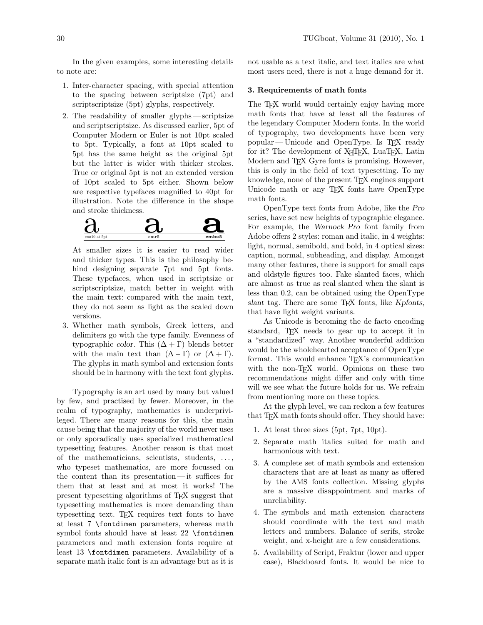In the given examples, some interesting details to note are:

- 1. Inter-character spacing, with special attention to the spacing between scriptsize (7pt) and scriptscriptsize (5pt) glyphs, respectively.
- 2. The readability of smaller glyphs scriptsize and scriptscriptsize. As discussed earlier, 5pt of Computer Modern or Euler is not 10pt scaled to 5pt. Typically, a font at 10pt scaled to 5pt has the same height as the original 5pt but the latter is wider with thicker strokes. True or original 5pt is not an extended version of 10pt scaled to 5pt either. Shown below are respective typefaces magnified to 40pt for illustration. Note the difference in the shape and stroke thickness.



At smaller sizes it is easier to read wider and thicker types. This is the philosophy behind designing separate 7pt and 5pt fonts. These typefaces, when used in scriptsize or scriptscriptsize, match better in weight with the main text: compared with the main text, they do not seem as light as the scaled down versions.

3. Whether math symbols, Greek letters, and delimiters go with the type family. Evenness of typographic color. This  $(\Delta + \Gamma)$  blends better with the main text than  $(\Delta + \Gamma)$  or  $(\Delta + \Gamma)$ . The glyphs in math symbol and extension fonts should be in harmony with the text font glyphs.

Typography is an art used by many but valued by few, and practised by fewer. Moreover, in the realm of typography, mathematics is underprivileged. There are many reasons for this, the main cause being that the majority of the world never uses or only sporadically uses specialized mathematical typesetting features. Another reason is that most of the mathematicians, scientists, students, . . . , who typeset mathematics, are more focussed on the content than its presentation — it suffices for them that at least and at most it works! The present typesetting algorithms of TEX suggest that typesetting mathematics is more demanding than typesetting text. TEX requires text fonts to have at least 7 \fontdimen parameters, whereas math symbol fonts should have at least 22 \fontdimen parameters and math extension fonts require at least 13 \fontdimen parameters. Availability of a separate math italic font is an advantage but as it is not usable as a text italic, and text italics are what most users need, there is not a huge demand for it.

#### 3. Requirements of math fonts

The TEX world would certainly enjoy having more math fonts that have at least all the features of the legendary Computer Modern fonts. In the world of typography, two developments have been very popular — Unicode and OpenType. Is TEX ready for it? The development of X<sub>T</sub>T<sub>F</sub>X, LuaT<sub>F</sub>X, Latin Modern and TFX Gyre fonts is promising. However, this is only in the field of text typesetting. To my knowledge, none of the present T<sub>E</sub>X engines support Unicode math or any T<sub>EX</sub> fonts have OpenType math fonts.

OpenType text fonts from Adobe, like the Pro series, have set new heights of typographic elegance. For example, the Warnock Pro font family from Adobe offers 2 styles: roman and italic, in 4 weights: light, normal, semibold, and bold, in 4 optical sizes: caption, normal, subheading, and display. Amongst many other features, there is support for small caps and oldstyle figures too. Fake slanted faces, which are almost as true as real slanted when the slant is less than 0.2, can be obtained using the OpenType slant tag. There are some TEX fonts, like Kpfonts, that have light weight variants.

As Unicode is becoming the de facto encoding standard, TEX needs to gear up to accept it in a "standardized" way. Another wonderful addition would be the wholehearted acceptance of OpenType format. This would enhance T<sub>E</sub>X's communication with the non-T<sub>EX</sub> world. Opinions on these two recommendations might differ and only with time will we see what the future holds for us. We refrain from mentioning more on these topics.

At the glyph level, we can reckon a few features that TEX math fonts should offer. They should have:

- 1. At least three sizes (5pt, 7pt, 10pt).
- 2. Separate math italics suited for math and harmonious with text.
- 3. A complete set of math symbols and extension characters that are at least as many as offered by the AMS fonts collection. Missing glyphs are a massive disappointment and marks of unreliability.
- 4. The symbols and math extension characters should coordinate with the text and math letters and numbers. Balance of serifs, stroke weight, and x-height are a few considerations.
- 5. Availability of Script, Fraktur (lower and upper case), Blackboard fonts. It would be nice to